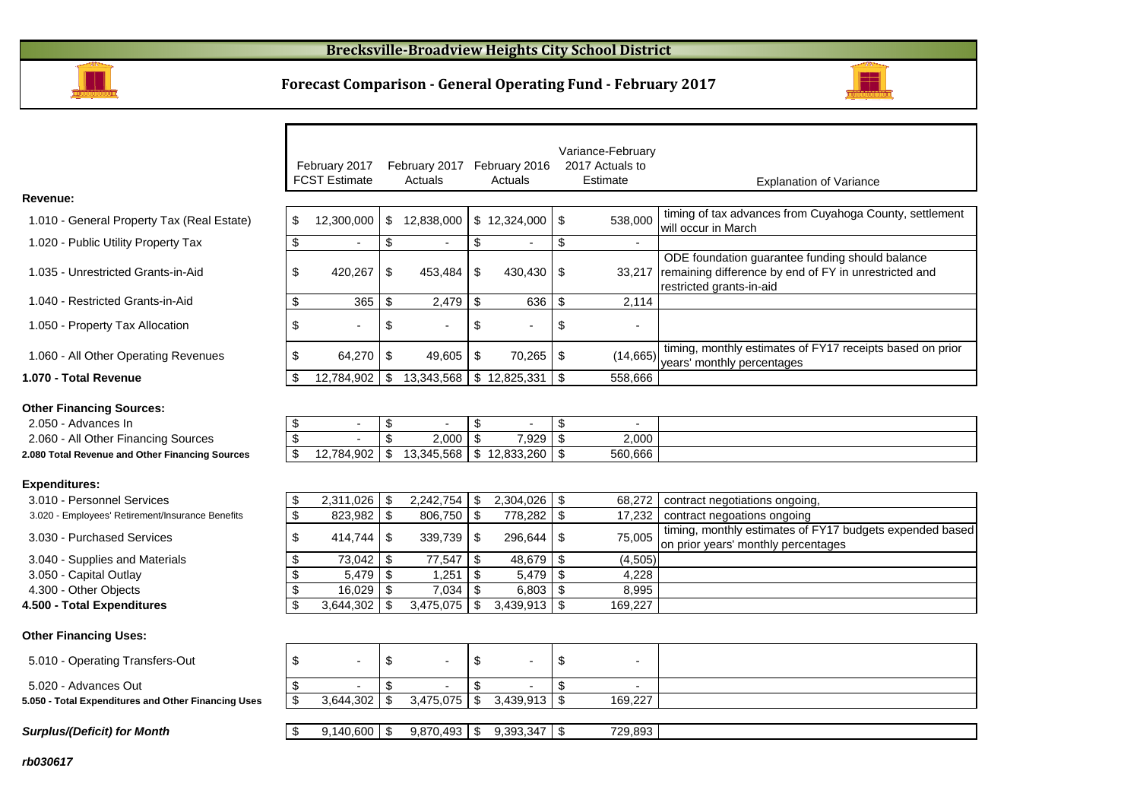

## **Forecast Comparison - General Operating Fund - February 2017**



|                                                  |     | February 2017<br><b>FCST Estimate</b> | February 2017<br>Actuals       |     | February 2016<br>Actuals |           | Variance-February<br>2017 Actuals to<br>Estimate | <b>Explanation of Variance</b>                                                                                                              |
|--------------------------------------------------|-----|---------------------------------------|--------------------------------|-----|--------------------------|-----------|--------------------------------------------------|---------------------------------------------------------------------------------------------------------------------------------------------|
| Revenue:                                         |     |                                       |                                |     |                          |           |                                                  |                                                                                                                                             |
| 1.010 - General Property Tax (Real Estate)       | \$  | 12,300,000                            | \$<br>12,838,000               |     | \$12,324,000             | \$        | 538,000                                          | timing of tax advances from Cuyahoga County, settlement<br>will occur in March                                                              |
| 1.020 - Public Utility Property Tax              | \$  | $\overline{\phantom{a}}$              | \$                             | \$  |                          | \$        | $\overline{\phantom{a}}$                         |                                                                                                                                             |
| 1.035 - Unrestricted Grants-in-Aid               | \$  | 420,267                               | \$<br>453,484                  | -\$ | 430,430                  | S         |                                                  | ODE foundation guarantee funding should balance<br>33,217 remaining difference by end of FY in unrestricted and<br>restricted grants-in-aid |
| 1.040 - Restricted Grants-in-Aid                 | \$  | 365                                   | \$<br>2,479                    | \$  | 636                      | \$        | 2,114                                            |                                                                                                                                             |
| 1.050 - Property Tax Allocation                  | \$  | $\overline{\phantom{0}}$              | \$<br>$\overline{\phantom{a}}$ | \$  |                          | \$        | ٠                                                |                                                                                                                                             |
| 1.060 - All Other Operating Revenues             | \$  | 64,270                                | \$<br>49.605                   | \$  | 70,265                   | \$        | (14, 665)                                        | timing, monthly estimates of FY17 receipts based on prior<br>years' monthly percentages                                                     |
| 1.070 - Total Revenue                            | \$. | 12,784,902                            | \$<br>13,343,568               | \$  | 12,825,331               | \$        | 558.666                                          |                                                                                                                                             |
| <b>Other Financing Sources:</b>                  |     |                                       |                                |     |                          |           |                                                  |                                                                                                                                             |
| 2.050 - Advances In                              | \$  |                                       | \$                             | \$  |                          | \$        | $\blacksquare$                                   |                                                                                                                                             |
| 2.060 - All Other Financing Sources              | \$  |                                       | 2,000                          | \$  | 7,929                    | \$        | 2,000                                            |                                                                                                                                             |
| 2.080 Total Revenue and Other Financing Sources  | \$  | 12,784,902                            | \$<br>13,345,568               | \$  | 12,833,260               | -\$       | 560,666                                          |                                                                                                                                             |
| <b>Expenditures:</b>                             |     |                                       |                                |     |                          |           |                                                  |                                                                                                                                             |
| 3.010 - Personnel Services                       | -\$ | 2,311,026                             | \$<br>2,242,754                | -\$ | 2,304,026                | l \$      | 68,272                                           | contract negotiations ongoing,                                                                                                              |
| 3.020 - Employees' Retirement/Insurance Benefits | \$  | 823,982                               | \$<br>806,750                  | -\$ | 778,282                  | <b>\$</b> | 17,232                                           | contract negoations ongoing                                                                                                                 |
| 3.030 - Purchased Services                       | \$  | 414,744                               | \$<br>339,739                  | \$  | 296,644                  | \$        | 75,005                                           | timing, monthly estimates of FY17 budgets expended based<br>on prior years' monthly percentages                                             |
| 3.040 - Supplies and Materials                   | \$  | 73,042                                | \$<br>77,547                   | -\$ | 48,679                   | \$        | (4, 505)                                         |                                                                                                                                             |

3.040 - Supplies and Materials **3.050 - Capital Outlay** 

3.050 - Capital Outlay

 4.300 - Other Objects\$ 7,034 16,029 \$ 6,803 \$ 8,995 \$

**4.500 - Total Expenditures**

#### **Other Financing Uses:**

| 5.010 - Operating Transfers-Out                     |                  |                |           |         |  |
|-----------------------------------------------------|------------------|----------------|-----------|---------|--|
| 5.020 - Advances Out                                |                  |                |           |         |  |
| 5.050 - Total Expenditures and Other Financing Uses | $3.644.302$   \$ |                |           | 169,227 |  |
|                                                     |                  |                |           |         |  |
| <b>Surplus/(Deficit) for Month</b>                  | $9,140,600$   \$ | $9,870,493$ \$ | 9,393,347 | 729,893 |  |

**73,042 \$** 77,547 \$ 48,679 \$ (4,505)<br>5,479 \$ 1,251 \$ 5,479 \$ 4,228

 $\frac{1}{3}$  3,644,302 \ \$ 3,475,075 \ \$ 3,439,913 \ \$ 169,227

 $\begin{array}{cccc} \text{\$} & 5,479 & \text{\$} & 4,228 \\ \text{\$} & 6,803 & \text{\$} & 8,995 \end{array}$ 

 $\frac{$}{\$}$  5,479  $\frac{$}{\$}$  1,251<br>  $\frac{$}{\$}$  16,029  $\frac{$}{\$}$  7,034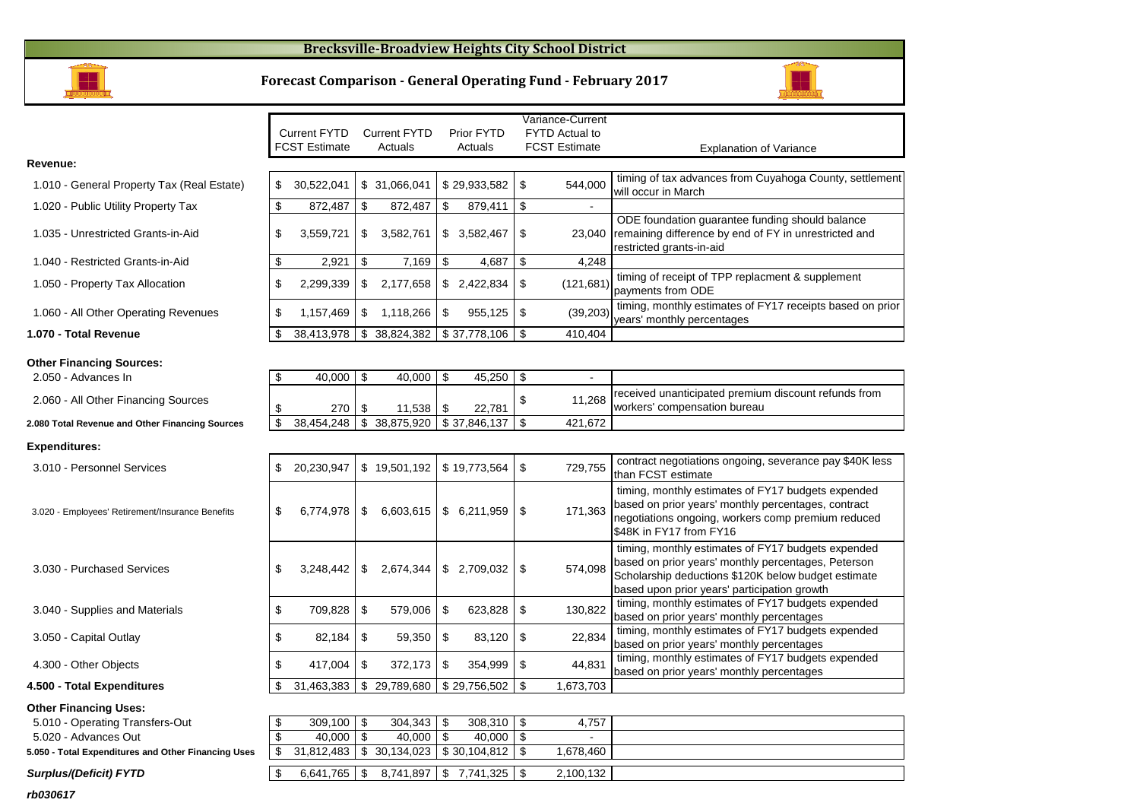### **Brecksville-Broadview Heights City School District**



**rb030617**

## **Forecast Comparison - General Operating Fund - February 2017**



|                                                     |     |                      |                         |                     |                         |                            |                         | Variance-Current      |                                                                                                                                                                                                                  |
|-----------------------------------------------------|-----|----------------------|-------------------------|---------------------|-------------------------|----------------------------|-------------------------|-----------------------|------------------------------------------------------------------------------------------------------------------------------------------------------------------------------------------------------------------|
|                                                     |     | <b>Current FYTD</b>  |                         | <b>Current FYTD</b> |                         | Prior FYTD                 |                         | <b>FYTD Actual to</b> |                                                                                                                                                                                                                  |
|                                                     |     | <b>FCST Estimate</b> |                         | Actuals             |                         | Actuals                    |                         | <b>FCST Estimate</b>  | <b>Explanation of Variance</b>                                                                                                                                                                                   |
| Revenue:                                            |     |                      |                         |                     |                         |                            |                         |                       |                                                                                                                                                                                                                  |
| 1.010 - General Property Tax (Real Estate)          | \$  | 30,522,041           |                         | \$ 31,066,041       |                         | \$29,933,582               | \$                      | 544.000               | timing of tax advances from Cuyahoga County, settlement<br>will occur in March                                                                                                                                   |
| 1.020 - Public Utility Property Tax                 | \$  | 872,487              | \$                      | 872,487             | \$                      | 879,411                    | \$                      |                       |                                                                                                                                                                                                                  |
| 1.035 - Unrestricted Grants-in-Aid                  | \$  | 3,559,721            | \$                      | 3,582,761           |                         | \$3,582,467                | \$                      | 23,040                | ODE foundation guarantee funding should balance<br>remaining difference by end of FY in unrestricted and<br>restricted grants-in-aid                                                                             |
| 1.040 - Restricted Grants-in-Aid                    | \$  | 2,921                | \$                      | 7,169               | \$                      | 4,687                      | \$                      | 4,248                 |                                                                                                                                                                                                                  |
| 1.050 - Property Tax Allocation                     | \$  | 2,299,339            | \$                      | 2,177,658           |                         | \$2,422,834                | \$                      | (121, 681)            | timing of receipt of TPP replacment & supplement<br>payments from ODE                                                                                                                                            |
| 1.060 - All Other Operating Revenues                | \$  | 1,157,469            | \$                      | 1,118,266           | \$                      | 955,125                    | \$                      | (39, 203)             | timing, monthly estimates of FY17 receipts based on prior<br>years' monthly percentages                                                                                                                          |
| 1.070 - Total Revenue                               | \$  | 38,413,978           |                         | \$38,824,382        |                         | \$37,778,106               | \$                      | 410.404               |                                                                                                                                                                                                                  |
| <b>Other Financing Sources:</b>                     |     |                      |                         |                     |                         |                            |                         |                       |                                                                                                                                                                                                                  |
| 2.050 - Advances In                                 | S   | 40,000               | \$                      | 40,000              | \$                      | 45,250                     | \$                      | $\sim$                |                                                                                                                                                                                                                  |
| 2.060 - All Other Financing Sources                 | \$  | 270                  | \$                      | 11,538              | \$                      | 22,781                     | \$                      | 11,268                | received unanticipated premium discount refunds from<br>workers' compensation bureau                                                                                                                             |
| 2.080 Total Revenue and Other Financing Sources     | \$  | 38,454,248           | $\overline{\mathbf{e}}$ | 38,875,920          |                         | \$37,846,137               | \$                      | 421,672               |                                                                                                                                                                                                                  |
| <b>Expenditures:</b>                                |     |                      |                         |                     |                         |                            |                         |                       |                                                                                                                                                                                                                  |
| 3.010 - Personnel Services                          | \$  | 20,230,947           |                         | \$19,501,192        |                         | \$19,773,564               | \$                      | 729,755               | contract negotiations ongoing, severance pay \$40K less<br>than FCST estimate                                                                                                                                    |
| 3.020 - Employees' Retirement/Insurance Benefits    | \$  | 6,774,978            | \$                      | 6,603,615           |                         | \$6,211,959                | \$                      | 171,363               | timing, monthly estimates of FY17 budgets expended<br>based on prior years' monthly percentages, contract<br>negotiations ongoing, workers comp premium reduced<br>\$48K in FY17 from FY16                       |
| 3.030 - Purchased Services                          | \$  | 3,248,442            | \$                      | 2,674,344           |                         | \$ 2,709,032               | \$                      | 574,098               | timing, monthly estimates of FY17 budgets expended<br>based on prior years' monthly percentages, Peterson<br>Scholarship deductions \$120K below budget estimate<br>based upon prior years' participation growth |
| 3.040 - Supplies and Materials                      | \$  | 709,828              | \$                      | 579,006             | \$                      | 623,828                    | \$                      | 130,822               | timing, monthly estimates of FY17 budgets expended<br>based on prior years' monthly percentages                                                                                                                  |
| 3.050 - Capital Outlay                              | \$  | 82,184               | \$                      | 59,350              | \$                      | 83,120                     | \$                      | 22,834                | timing, monthly estimates of FY17 budgets expended<br>based on prior years' monthly percentages                                                                                                                  |
| 4.300 - Other Objects                               | \$  | 417,004              | \$                      | 372,173             | \$                      | 354,999                    | \$                      | 44,831                | timing, monthly estimates of FY17 budgets expended<br>based on prior years' monthly percentages                                                                                                                  |
| 4.500 - Total Expenditures                          | \$. | 31,463,383           |                         | \$29,789,680        |                         | \$29,756,502               | \$                      | 1,673,703             |                                                                                                                                                                                                                  |
| <b>Other Financing Uses:</b>                        |     |                      |                         |                     |                         |                            |                         |                       |                                                                                                                                                                                                                  |
| 5.010 - Operating Transfers-Out                     | \$  | 309,100              | \$                      | 304,343             | \$                      | 308,310                    | \$                      | 4,757                 |                                                                                                                                                                                                                  |
| 5.020 - Advances Out                                | \$  | 40,000               | \$                      | 40,000              | $\sqrt[6]{\frac{1}{2}}$ | 40,000                     | $\overline{\mathbf{e}}$ |                       |                                                                                                                                                                                                                  |
| 5.050 - Total Expenditures and Other Financing Uses | \$  | 31,812,483           |                         | \$30,134,023        |                         | \$30,104,812               | \$                      | 1,678,460             |                                                                                                                                                                                                                  |
| <b>Surplus/(Deficit) FYTD</b>                       | \$  | 6,641,765            | $\bullet$               | 8,741,897           |                         | $\frac{1}{2}$ 7,741,325 \$ |                         | 2,100,132             |                                                                                                                                                                                                                  |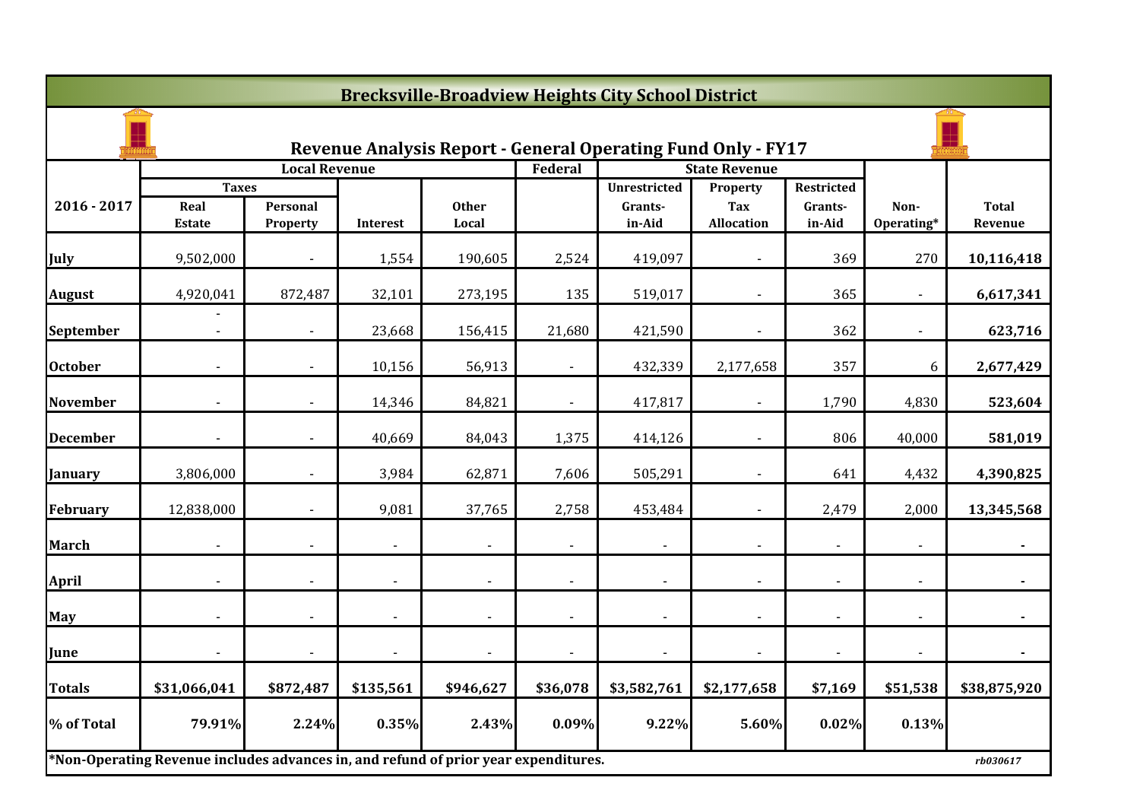|                 |                                                                                     |                          |                 |                       |                          | <b>Brecksville-Broadview Heights City School District</b>           |                                      |                                 |                    |                         |
|-----------------|-------------------------------------------------------------------------------------|--------------------------|-----------------|-----------------------|--------------------------|---------------------------------------------------------------------|--------------------------------------|---------------------------------|--------------------|-------------------------|
|                 |                                                                                     |                          |                 |                       |                          | <b>Revenue Analysis Report - General Operating Fund Only - FY17</b> |                                      |                                 |                    |                         |
|                 |                                                                                     | <b>Local Revenue</b>     |                 |                       | Federal                  |                                                                     | <b>State Revenue</b>                 |                                 |                    |                         |
| $2016 - 2017$   | <b>Taxes</b><br>Real<br><b>Estate</b>                                               | Personal<br>Property     | <b>Interest</b> | <b>Other</b><br>Local |                          | <b>Unrestricted</b><br>Grants-<br>in-Aid                            | Property<br>Tax<br><b>Allocation</b> | Restricted<br>Grants-<br>in-Aid | Non-<br>Operating* | <b>Total</b><br>Revenue |
| July            | 9,502,000                                                                           |                          | 1,554           | 190,605               | 2,524                    | 419,097                                                             |                                      | 369                             | 270                | 10,116,418              |
| <b>August</b>   | 4,920,041                                                                           | 872,487                  | 32,101          | 273,195               | 135                      | 519,017                                                             |                                      | 365                             |                    | 6,617,341               |
| September       | $\blacksquare$                                                                      | $\blacksquare$           | 23,668          | 156,415               | 21,680                   | 421,590                                                             | $\blacksquare$                       | 362                             |                    | 623,716                 |
| <b>October</b>  |                                                                                     | $\overline{\phantom{a}}$ | 10,156          | 56,913                | $\overline{\phantom{a}}$ | 432,339                                                             | 2,177,658                            | 357                             | 6                  | 2,677,429               |
| <b>November</b> |                                                                                     |                          | 14,346          | 84,821                | $\blacksquare$           | 417,817                                                             |                                      | 1,790                           | 4,830              | 523,604                 |
| <b>December</b> |                                                                                     |                          | 40,669          | 84,043                | 1,375                    | 414,126                                                             |                                      | 806                             | 40,000             | 581,019                 |
| January         | 3,806,000                                                                           |                          | 3,984           | 62,871                | 7,606                    | 505,291                                                             |                                      | 641                             | 4,432              | 4,390,825               |
| February        | 12,838,000                                                                          |                          | 9,081           | 37,765                | 2,758                    | 453,484                                                             |                                      | 2,479                           | 2,000              | 13,345,568              |
| <b>March</b>    |                                                                                     |                          |                 |                       | $\overline{\phantom{a}}$ | $\overline{\phantom{a}}$                                            |                                      | $\overline{\phantom{a}}$        |                    | $\blacksquare$          |
| <b>April</b>    |                                                                                     |                          |                 |                       |                          |                                                                     |                                      |                                 |                    |                         |
| <b>May</b>      |                                                                                     |                          | $\sim$          |                       | $\blacksquare$           | $\blacksquare$                                                      |                                      |                                 | $\blacksquare$     |                         |
| June            |                                                                                     |                          |                 |                       |                          |                                                                     |                                      |                                 |                    |                         |
| <b>Totals</b>   | \$31,066,041                                                                        | \$872,487                | \$135,561       | \$946,627             | \$36,078                 | \$3,582,761                                                         | \$2,177,658                          | \$7,169                         | \$51,538           | \$38,875,920            |
| % of Total      | 79.91%                                                                              | 2.24%                    | 0.35%           | 2.43%                 | 0.09%                    | 9.22%                                                               | 5.60%                                | 0.02%                           | 0.13%              |                         |
|                 | *Non-Operating Revenue includes advances in, and refund of prior year expenditures. |                          |                 |                       |                          |                                                                     |                                      |                                 |                    | rb030617                |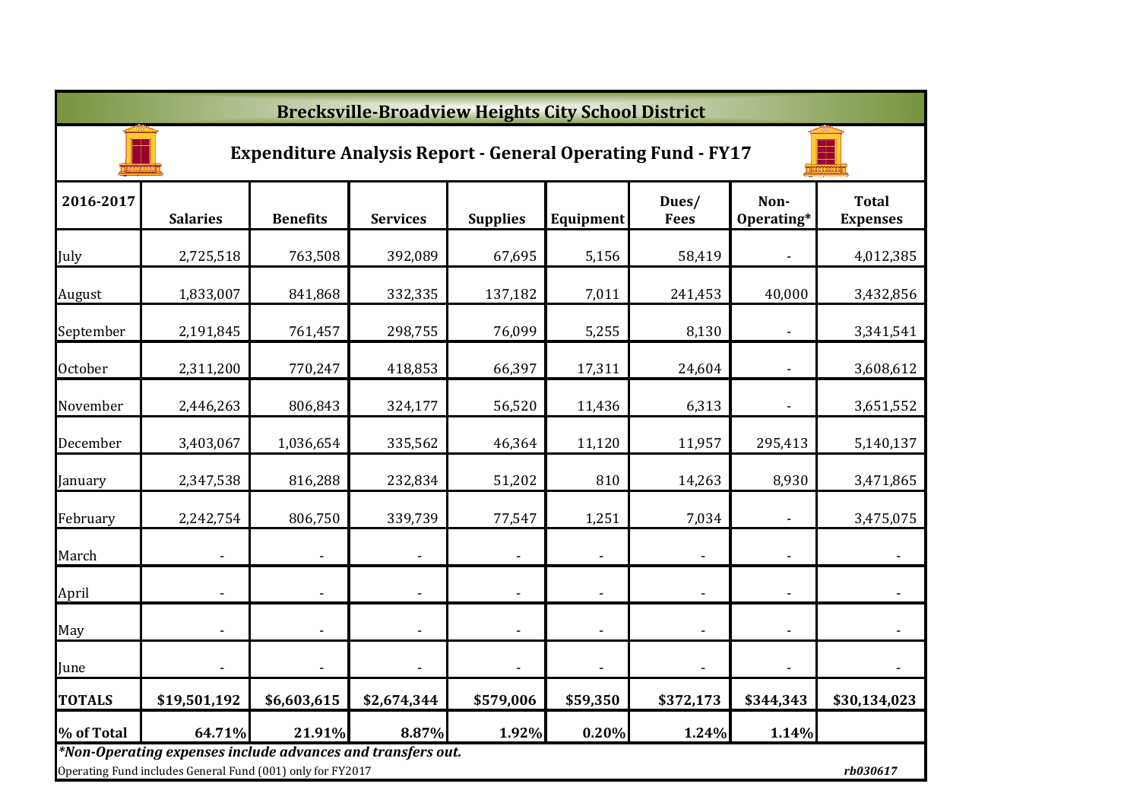|                |                                                                                                                           |                          | <b>Brecksville-Broadview Heights City School District</b> |                 |                          |                                                                    |                    |                                 |
|----------------|---------------------------------------------------------------------------------------------------------------------------|--------------------------|-----------------------------------------------------------|-----------------|--------------------------|--------------------------------------------------------------------|--------------------|---------------------------------|
|                |                                                                                                                           |                          |                                                           |                 |                          | <b>Expenditure Analysis Report - General Operating Fund - FY17</b> |                    |                                 |
| 2016-2017      | <b>Salaries</b>                                                                                                           | <b>Benefits</b>          | <b>Services</b>                                           | <b>Supplies</b> | Equipment                | Dues/<br><b>Fees</b>                                               | Non-<br>Operating* | <b>Total</b><br><b>Expenses</b> |
| July           | 2,725,518                                                                                                                 | 763,508                  | 392,089                                                   | 67,695          | 5,156                    | 58,419                                                             |                    | 4,012,385                       |
| August         | 1,833,007                                                                                                                 | 841,868                  | 332,335                                                   | 137,182         | 7,011                    | 241,453                                                            | 40,000             | 3,432,856                       |
| September      | 2,191,845                                                                                                                 | 761,457                  | 298,755                                                   | 76,099          | 5,255                    | 8,130                                                              |                    | 3,341,541                       |
| <b>October</b> | 2,311,200                                                                                                                 | 770,247                  | 418,853                                                   | 66,397          | 17,311                   | 24,604                                                             |                    | 3,608,612                       |
| November       | 2,446,263                                                                                                                 | 806,843                  | 324,177                                                   | 56,520          | 11,436                   | 6,313                                                              | $\blacksquare$     | 3,651,552                       |
| December       | 3,403,067                                                                                                                 | 1,036,654                | 335,562                                                   | 46,364          | 11,120                   | 11,957                                                             | 295,413            | 5,140,137                       |
| January        | 2,347,538                                                                                                                 | 816,288                  | 232,834                                                   | 51,202          | 810                      | 14,263                                                             | 8,930              | 3,471,865                       |
| February       | 2,242,754                                                                                                                 | 806,750                  | 339,739                                                   | 77,547          | 1,251                    | 7,034                                                              |                    | 3,475,075                       |
| March          |                                                                                                                           | $\overline{\phantom{a}}$ | $\overline{\phantom{a}}$                                  |                 |                          | $\blacksquare$                                                     |                    | $\overline{\phantom{a}}$        |
| April          | $\blacksquare$                                                                                                            | $\overline{\phantom{a}}$ | $\overline{\phantom{a}}$                                  | $\blacksquare$  | $\overline{\phantom{a}}$ | $\blacksquare$                                                     | $\blacksquare$     |                                 |
| May            | $\blacksquare$                                                                                                            | $\overline{\phantom{a}}$ | $\blacksquare$                                            |                 | $\overline{\phantom{a}}$ | $\blacksquare$                                                     |                    | $\overline{\phantom{a}}$        |
| June           |                                                                                                                           |                          |                                                           |                 |                          | $\blacksquare$                                                     |                    |                                 |
| <b>TOTALS</b>  | \$19,501,192                                                                                                              | \$6,603,615              | \$2,674,344                                               | \$579,006       | \$59,350                 | \$372,173                                                          | \$344,343          | \$30,134,023                    |
| % of Total     | 64.71%                                                                                                                    | 21.91%                   | 8.87%                                                     | 1.92%           | 0.20%                    | 1.24%                                                              | 1.14%              |                                 |
|                | *Non-Operating expenses include advances and transfers out.<br>Operating Fund includes General Fund (001) only for FY2017 |                          |                                                           |                 |                          |                                                                    |                    | rb030617                        |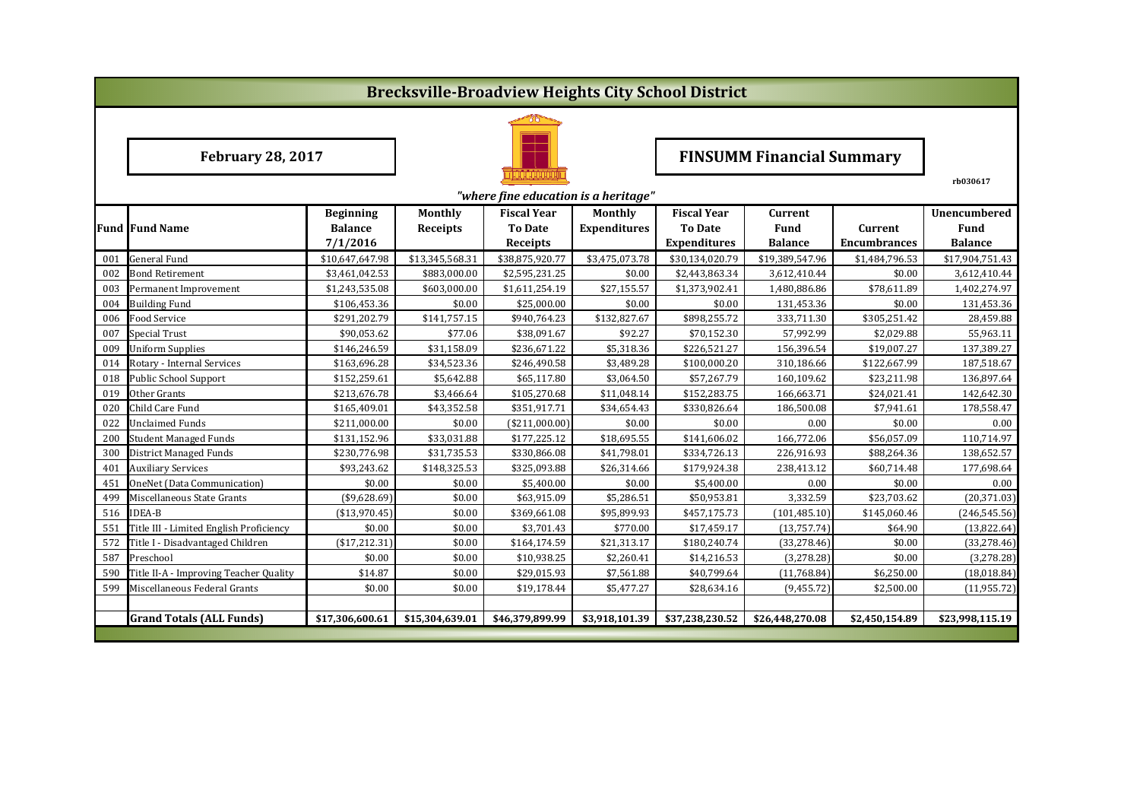|     |                                         |                  | <b>Brecksville-Broadview Heights City School District</b> |                                      |                     |                     |                                  |                     |                 |
|-----|-----------------------------------------|------------------|-----------------------------------------------------------|--------------------------------------|---------------------|---------------------|----------------------------------|---------------------|-----------------|
|     |                                         |                  |                                                           |                                      |                     |                     |                                  |                     |                 |
|     | <b>February 28, 2017</b>                |                  |                                                           |                                      |                     |                     | <b>FINSUMM Financial Summary</b> |                     |                 |
|     |                                         |                  |                                                           | "where fine education is a heritage" |                     |                     |                                  |                     | rb030617        |
|     |                                         | <b>Beginning</b> | Monthly                                                   | <b>Fiscal Year</b>                   | Monthly             | <b>Fiscal Year</b>  | Current                          |                     | Unencumbered    |
|     | <b>Fund Fund Name</b>                   | <b>Balance</b>   | <b>Receipts</b>                                           | To Date                              | <b>Expenditures</b> | <b>To Date</b>      | <b>Fund</b>                      | Current             | Fund            |
|     |                                         | 7/1/2016         |                                                           | Receipts                             |                     | <b>Expenditures</b> | <b>Balance</b>                   | <b>Encumbrances</b> | <b>Balance</b>  |
| 001 | <b>General Fund</b>                     | \$10,647,647.98  | \$13,345,568.31                                           | \$38,875,920.77                      | \$3,475,073.78      | \$30,134,020.79     | \$19,389,547.96                  | \$1,484,796.53      | \$17,904,751.43 |
| 002 | <b>Bond Retirement</b>                  | \$3,461,042.53   | \$883,000.00                                              | \$2,595,231.25                       | \$0.00              | \$2,443,863.34      | 3,612,410.44                     | \$0.00              | 3,612,410.44    |
| 003 | Permanent Improvement                   | \$1,243,535.08   | \$603.000.00                                              | \$1,611,254.19                       | \$27,155.57         | \$1,373,902.41      | 1.480.886.86                     | \$78,611.89         | 1,402,274.97    |
| 004 | <b>Building Fund</b>                    | \$106,453.36     | \$0.00                                                    | \$25,000.00                          | \$0.00              | \$0.00              | 131,453.36                       | \$0.00              | 131,453.36      |
| 006 | Food Service                            | \$291,202.79     | \$141,757.15                                              | \$940,764.23                         | \$132,827.67        | \$898,255.72        | 333,711.30                       | \$305,251.42        | 28,459.88       |
| 007 | Special Trust                           | \$90,053.62      | \$77.06                                                   | \$38,091.67                          | \$92.27             | \$70,152.30         | 57,992.99                        | \$2,029.88          | 55,963.11       |
| 009 | <b>Uniform Supplies</b>                 | \$146,246.59     | \$31,158.09                                               | \$236,671.22                         | \$5,318.36          | \$226,521.27        | 156,396.54                       | \$19,007.27         | 137,389.27      |
| 014 | Rotary - Internal Services              | \$163,696.28     | \$34,523.36                                               | \$246,490.58                         | \$3,489.28          | \$100,000.20        | 310,186.66                       | \$122,667.99        | 187,518.67      |
| 018 | <b>Public School Support</b>            | \$152,259.61     | \$5,642.88                                                | \$65,117.80                          | \$3,064.50          | \$57,267.79         | 160,109.62                       | \$23,211.98         | 136,897.64      |
| 019 | Other Grants                            | \$213,676.78     | \$3,466.64                                                | \$105,270.68                         | \$11,048.14         | \$152,283.75        | 166,663.71                       | \$24,021.41         | 142,642.30      |
| 020 | Child Care Fund                         | \$165,409.01     | \$43,352.58                                               | \$351,917.71                         | \$34,654.43         | \$330,826.64        | 186,500.08                       | \$7,941.61          | 178,558.47      |
| 022 | <b>Unclaimed Funds</b>                  | \$211,000.00     | \$0.00                                                    | (\$211,000.00)                       | \$0.00              | \$0.00              | 0.00                             | \$0.00              | 0.00            |
| 200 | <b>Student Managed Funds</b>            | \$131,152.96     | \$33,031.88                                               | \$177,225.12                         | \$18,695.55         | \$141,606.02        | 166,772.06                       | \$56,057.09         | 110,714.97      |
| 300 | <b>District Managed Funds</b>           | \$230,776.98     | \$31,735.53                                               | \$330,866.08                         | \$41,798.01         | \$334,726.13        | 226,916.93                       | \$88,264.36         | 138,652.57      |
| 401 | <b>Auxiliary Services</b>               | \$93,243.62      | \$148,325.53                                              | \$325,093.88                         | \$26,314.66         | \$179,924.38        | 238,413.12                       | \$60,714.48         | 177,698.64      |
| 451 | OneNet (Data Communication)             | \$0.00           | \$0.00                                                    | \$5,400.00                           | \$0.00              | \$5,400.00          | 0.00                             | \$0.00              | 0.00            |
| 499 | Miscellaneous State Grants              | $(*9,628.69)$    | \$0.00                                                    | \$63,915.09                          | \$5,286.51          | \$50,953.81         | 3,332.59                         | \$23,703.62         | (20, 371.03)    |
| 516 | <b>IDEA-B</b>                           | ( \$13,970.45)   | \$0.00                                                    | \$369,661.08                         | \$95,899.93         | \$457,175.73        | (101, 485.10)                    | \$145,060.46        | (246, 545.56)   |
| 551 | Title III - Limited English Proficiency | \$0.00           | \$0.00                                                    | \$3,701.43                           | \$770.00            | \$17,459.17         | (13,757.74)                      | \$64.90             | (13,822.64)     |
| 572 | Title I - Disadvantaged Children        | (\$17,212.31)    | \$0.00                                                    | \$164,174.59                         | \$21,313.17         | \$180,240.74        | (33, 278.46)                     | \$0.00              | (33, 278.46)    |
| 587 | Preschool                               | \$0.00           | \$0.00                                                    | \$10,938.25                          | \$2,260.41          | \$14,216.53         | (3,278.28)                       | \$0.00              | (3,278.28)      |
| 590 | Title II-A - Improving Teacher Quality  | \$14.87          | \$0.00                                                    | \$29,015.93                          | \$7,561.88          | \$40,799.64         | (11,768.84)                      | \$6,250.00          | (18,018.84)     |
| 599 | Miscellaneous Federal Grants            | \$0.00           | \$0.00                                                    | \$19,178.44                          | \$5,477.27          | \$28,634.16         | (9,455.72)                       | \$2,500.00          | (11, 955.72)    |
|     |                                         |                  |                                                           |                                      |                     |                     |                                  |                     |                 |
|     | <b>Grand Totals (ALL Funds)</b>         | \$17,306,600.61  | \$15,304,639.01                                           | \$46,379,899.99                      | \$3,918,101.39      | \$37,238,230.52     | \$26,448,270.08                  | \$2,450,154.89      | \$23,998,115.19 |
|     |                                         |                  |                                                           |                                      |                     |                     |                                  |                     |                 |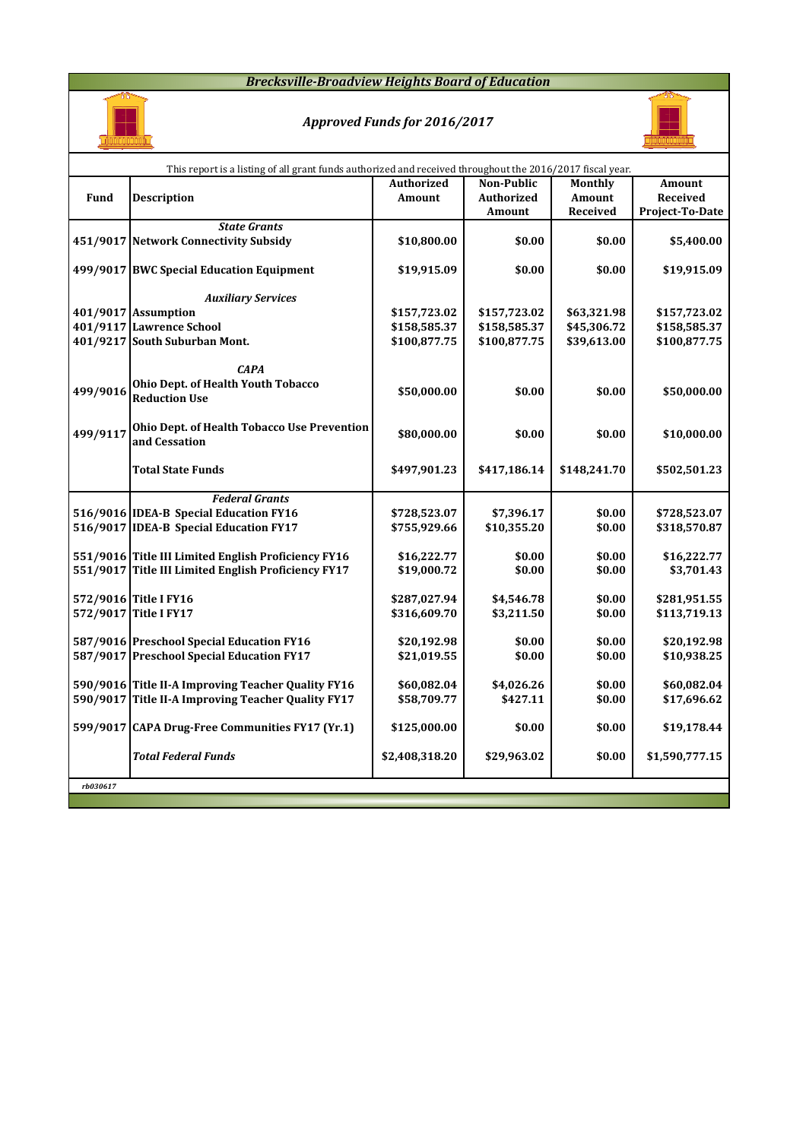## *Brecksville-Broadview Heights Board of Education*



## *Approved Funds for 2016/2017*



|          | This report is a listing of all grant funds authorized and received throughout the 2016/2017 fiscal year. |                   |                   |              |                 |
|----------|-----------------------------------------------------------------------------------------------------------|-------------------|-------------------|--------------|-----------------|
|          |                                                                                                           | <b>Authorized</b> | <b>Non-Public</b> | Monthly      | <b>Amount</b>   |
| Fund     | <b>Description</b>                                                                                        | Amount            | <b>Authorized</b> | Amount       | <b>Received</b> |
|          |                                                                                                           |                   | Amount            | Received     | Project-To-Date |
|          | <b>State Grants</b>                                                                                       |                   |                   |              |                 |
|          | 451/9017 Network Connectivity Subsidy                                                                     | \$10,800.00       | \$0.00            | \$0.00       | \$5,400.00      |
|          |                                                                                                           |                   |                   |              |                 |
|          | 499/9017 BWC Special Education Equipment                                                                  | \$19,915.09       | \$0.00            | \$0.00       | \$19,915.09     |
|          |                                                                                                           |                   |                   |              |                 |
|          | <b>Auxiliary Services</b>                                                                                 |                   |                   |              |                 |
|          | 401/9017 Assumption                                                                                       | \$157,723.02      | \$157,723.02      | \$63,321.98  | \$157,723.02    |
|          | 401/9117 Lawrence School                                                                                  | \$158,585.37      | \$158,585.37      | \$45,306.72  | \$158,585.37    |
|          | 401/9217 South Suburban Mont.                                                                             | \$100,877.75      | \$100,877.75      | \$39,613.00  | \$100,877.75    |
|          |                                                                                                           |                   |                   |              |                 |
|          | <b>CAPA</b>                                                                                               |                   |                   |              |                 |
|          | Ohio Dept. of Health Youth Tobacco                                                                        |                   |                   |              |                 |
| 499/9016 | <b>Reduction Use</b>                                                                                      | \$50,000.00       | \$0.00            | \$0.00       | \$50,000.00     |
|          |                                                                                                           |                   |                   |              |                 |
|          | Ohio Dept. of Health Tobacco Use Prevention                                                               |                   |                   |              |                 |
| 499/9117 | and Cessation                                                                                             | \$80,000.00       | \$0.00            | \$0.00       | \$10,000.00     |
|          |                                                                                                           |                   |                   |              |                 |
|          | <b>Total State Funds</b>                                                                                  | \$497,901.23      | \$417,186.14      | \$148,241.70 | \$502,501.23    |
|          |                                                                                                           |                   |                   |              |                 |
|          | <b>Federal Grants</b>                                                                                     |                   |                   |              |                 |
|          | 516/9016 IDEA-B Special Education FY16                                                                    | \$728,523.07      | \$7,396.17        | \$0.00       | \$728,523.07    |
|          | 516/9017 IDEA-B Special Education FY17                                                                    | \$755,929.66      | \$10,355.20       | \$0.00       | \$318,570.87    |
|          |                                                                                                           |                   |                   |              |                 |
|          | 551/9016 Title III Limited English Proficiency FY16                                                       | \$16,222.77       | \$0.00            | \$0.00       | \$16,222.77     |
|          | 551/9017 Title III Limited English Proficiency FY17                                                       | \$19,000.72       | \$0.00            | \$0.00       | \$3,701.43      |
|          |                                                                                                           |                   |                   |              |                 |
|          | 572/9016 Title I FY16                                                                                     | \$287,027.94      | \$4,546.78        | \$0.00       | \$281,951.55    |
|          | 572/9017 Title I FY17                                                                                     | \$316,609.70      | \$3,211.50        | \$0.00       | \$113,719.13    |
|          |                                                                                                           |                   |                   |              |                 |
|          | 587/9016 Preschool Special Education FY16                                                                 | \$20,192.98       | \$0.00            | \$0.00       | \$20,192.98     |
|          | 587/9017 Preschool Special Education FY17                                                                 | \$21,019.55       | \$0.00            | \$0.00       | \$10,938.25     |
|          |                                                                                                           |                   |                   |              |                 |
|          | 590/9016 Title II-A Improving Teacher Quality FY16                                                        | \$60,082.04       | \$4,026.26        | \$0.00       | \$60,082.04     |
|          | 590/9017 Title II-A Improving Teacher Quality FY17                                                        | \$58,709.77       | \$427.11          | \$0.00       | \$17,696.62     |
|          |                                                                                                           |                   |                   |              |                 |
|          | 599/9017 CAPA Drug-Free Communities FY17 (Yr.1)                                                           | \$125,000.00      | \$0.00            | \$0.00       | \$19,178.44     |
|          |                                                                                                           |                   |                   |              |                 |
|          | <b>Total Federal Funds</b>                                                                                | \$2,408,318.20    | \$29,963.02       | \$0.00       | \$1,590,777.15  |
|          |                                                                                                           |                   |                   |              |                 |
| rb030617 |                                                                                                           |                   |                   |              |                 |
|          |                                                                                                           |                   |                   |              |                 |
|          |                                                                                                           |                   |                   |              |                 |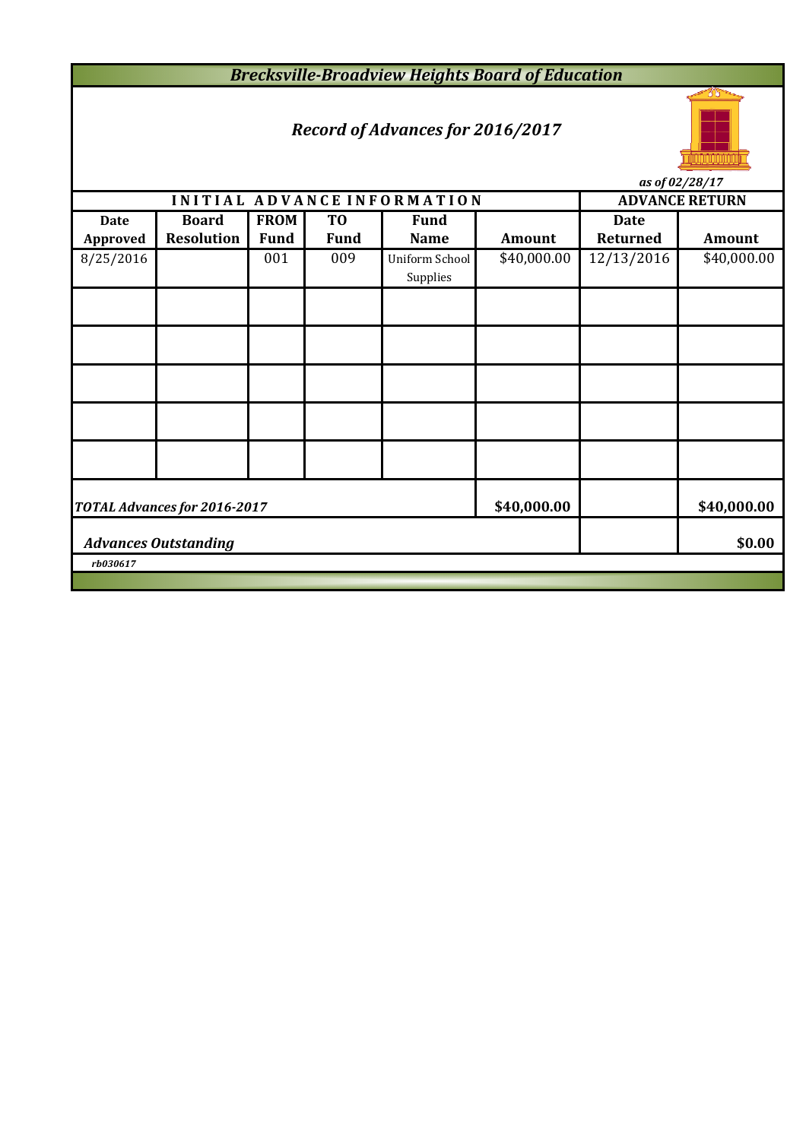*Brecksville-Broadview Heights Board of Education*

# *Record of Advances for 2016/2017*



*as of 02/28/17*

|             |                              |             |                |                             |               |             | as of $02/28/17$      |
|-------------|------------------------------|-------------|----------------|-----------------------------|---------------|-------------|-----------------------|
|             |                              |             |                | INITIAL ADVANCE INFORMATION |               |             | <b>ADVANCE RETURN</b> |
| <b>Date</b> | <b>Board</b>                 | <b>FROM</b> | T <sub>0</sub> | <b>Fund</b>                 |               | <b>Date</b> |                       |
| Approved    | <b>Resolution</b>            | <b>Fund</b> | <b>Fund</b>    | <b>Name</b>                 | <b>Amount</b> | Returned    | <b>Amount</b>         |
| 8/25/2016   |                              | 001         | 009            | <b>Uniform School</b>       | \$40,000.00   | 12/13/2016  | \$40,000.00           |
|             |                              |             |                | Supplies                    |               |             |                       |
|             |                              |             |                |                             |               |             |                       |
|             |                              |             |                |                             |               |             |                       |
|             |                              |             |                |                             |               |             |                       |
|             |                              |             |                |                             |               |             |                       |
|             |                              |             |                |                             |               |             |                       |
|             |                              |             |                |                             |               |             |                       |
|             |                              |             |                |                             |               |             |                       |
|             |                              |             |                |                             |               |             |                       |
|             |                              |             |                |                             |               |             |                       |
|             |                              |             |                |                             |               |             |                       |
|             |                              |             |                |                             |               |             |                       |
|             | TOTAL Advances for 2016-2017 |             |                |                             | \$40,000.00   |             | \$40,000.00           |
|             |                              |             |                |                             |               |             |                       |
|             | <b>Advances Outstanding</b>  |             |                |                             |               |             | \$0.00                |
| rb030617    |                              |             |                |                             |               |             |                       |
|             |                              |             |                |                             |               |             |                       |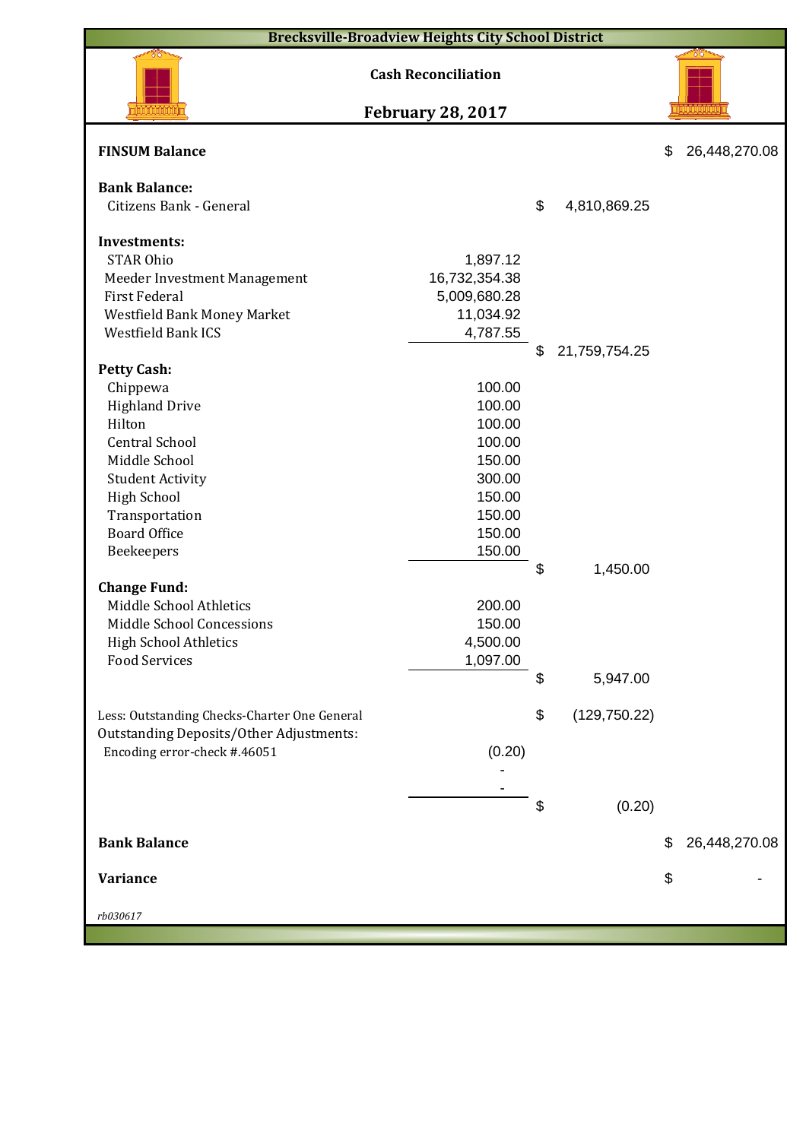| <b>Brecksville-Broadview Heights City School District</b> |                            |                     |                     |
|-----------------------------------------------------------|----------------------------|---------------------|---------------------|
|                                                           | <b>Cash Reconciliation</b> |                     | 78                  |
|                                                           | <b>February 28, 2017</b>   |                     |                     |
| <b>FINSUM Balance</b>                                     |                            |                     | \$<br>26,448,270.08 |
| <b>Bank Balance:</b>                                      |                            |                     |                     |
| Citizens Bank - General                                   |                            | \$<br>4,810,869.25  |                     |
| <b>Investments:</b>                                       |                            |                     |                     |
| <b>STAR Ohio</b>                                          | 1,897.12                   |                     |                     |
| Meeder Investment Management                              | 16,732,354.38              |                     |                     |
| <b>First Federal</b>                                      | 5,009,680.28               |                     |                     |
| Westfield Bank Money Market                               | 11,034.92                  |                     |                     |
| Westfield Bank ICS                                        | 4,787.55                   |                     |                     |
|                                                           |                            | \$<br>21,759,754.25 |                     |
| <b>Petty Cash:</b>                                        |                            |                     |                     |
| Chippewa                                                  | 100.00                     |                     |                     |
| <b>Highland Drive</b>                                     | 100.00                     |                     |                     |
| Hilton                                                    | 100.00                     |                     |                     |
| <b>Central School</b>                                     | 100.00                     |                     |                     |
| Middle School                                             | 150.00                     |                     |                     |
| <b>Student Activity</b>                                   | 300.00                     |                     |                     |
| <b>High School</b>                                        | 150.00                     |                     |                     |
| Transportation                                            | 150.00                     |                     |                     |
| <b>Board Office</b>                                       | 150.00                     |                     |                     |
| Beekeepers                                                | 150.00                     |                     |                     |
| <b>Change Fund:</b>                                       |                            | \$<br>1,450.00      |                     |
| Middle School Athletics                                   | 200.00                     |                     |                     |
| Middle School Concessions                                 | 150.00                     |                     |                     |
| <b>High School Athletics</b>                              | 4,500.00                   |                     |                     |
| <b>Food Services</b>                                      | 1,097.00                   |                     |                     |
|                                                           |                            | \$<br>5,947.00      |                     |
|                                                           |                            |                     |                     |
| Less: Outstanding Checks-Charter One General              |                            | \$<br>(129, 750.22) |                     |
| <b>Outstanding Deposits/Other Adjustments:</b>            |                            |                     |                     |
| Encoding error-check #.46051                              | (0.20)                     |                     |                     |
|                                                           |                            |                     |                     |
|                                                           |                            |                     |                     |
|                                                           |                            | \$<br>(0.20)        |                     |
| <b>Bank Balance</b>                                       |                            |                     | \$<br>26,448,270.08 |
| <b>Variance</b>                                           |                            |                     | \$                  |
| rb030617                                                  |                            |                     |                     |
|                                                           |                            |                     |                     |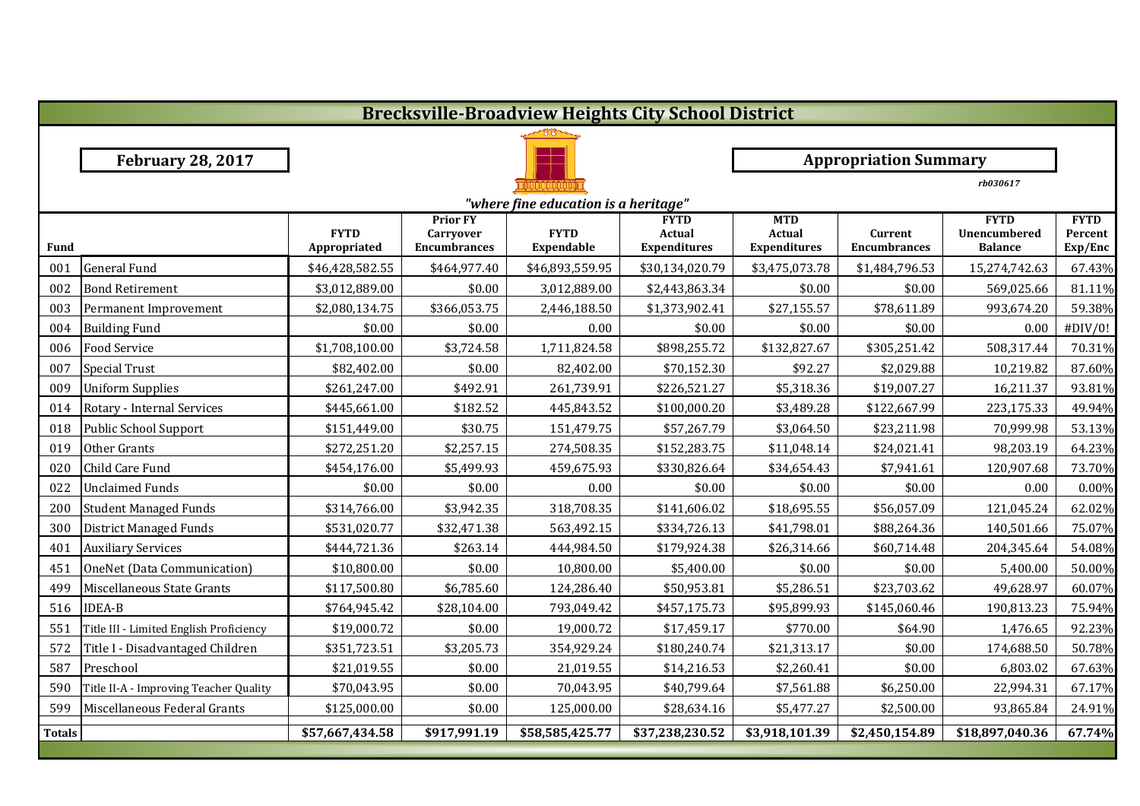|               |                                         |                             |                                                            |                                      | <b>Brecksville-Broadview Heights City School District</b> |                                             |                                |                                               |                                   |
|---------------|-----------------------------------------|-----------------------------|------------------------------------------------------------|--------------------------------------|-----------------------------------------------------------|---------------------------------------------|--------------------------------|-----------------------------------------------|-----------------------------------|
|               |                                         |                             |                                                            |                                      |                                                           |                                             |                                |                                               |                                   |
|               | <b>February 28, 2017</b>                |                             |                                                            |                                      |                                                           |                                             | <b>Appropriation Summary</b>   |                                               |                                   |
|               |                                         |                             |                                                            |                                      |                                                           |                                             |                                | rb030617                                      |                                   |
|               |                                         |                             |                                                            | "where fine education is a heritage" |                                                           |                                             |                                |                                               |                                   |
| <b>Fund</b>   |                                         | <b>FYTD</b><br>Appropriated | <b>Prior FY</b><br><b>Carryover</b><br><b>Encumbrances</b> | <b>FYTD</b><br><b>Expendable</b>     | <b>FYTD</b><br><b>Actual</b><br><b>Expenditures</b>       | <b>MTD</b><br>Actual<br><b>Expenditures</b> | Current<br><b>Encumbrances</b> | <b>FYTD</b><br>Unencumbered<br><b>Balance</b> | <b>FYTD</b><br>Percent<br>Exp/Enc |
| 001           | <b>General Fund</b>                     | \$46,428,582.55             | \$464,977.40                                               | \$46,893,559.95                      | \$30,134,020.79                                           | \$3,475,073.78                              | \$1,484,796.53                 | 15,274,742.63                                 | 67.43%                            |
| 002           | <b>Bond Retirement</b>                  | \$3,012,889.00              | \$0.00                                                     | 3,012,889.00                         | \$2,443,863.34                                            | \$0.00                                      | \$0.00                         | 569,025.66                                    | 81.11%                            |
| 003           | Permanent Improvement                   | \$2,080,134.75              | \$366,053.75                                               | 2,446,188.50                         | \$1,373,902.41                                            | \$27,155.57                                 | \$78,611.89                    | 993,674.20                                    | 59.38%                            |
| 004           | <b>Building Fund</b>                    | \$0.00                      | \$0.00                                                     | 0.00                                 | \$0.00                                                    | \$0.00                                      | \$0.00                         | 0.00                                          | #DIV/0!                           |
| 006           | <b>Food Service</b>                     | \$1,708,100.00              | \$3,724.58                                                 | 1,711,824.58                         | \$898,255.72                                              | \$132,827.67                                | \$305,251.42                   | 508,317.44                                    | 70.31%                            |
| 007           | <b>Special Trust</b>                    | \$82,402.00                 | \$0.00                                                     | 82,402.00                            | \$70,152.30                                               | \$92.27                                     | \$2,029.88                     | 10,219.82                                     | 87.60%                            |
| 009           | <b>Uniform Supplies</b>                 | \$261,247.00                | \$492.91                                                   | 261,739.91                           | \$226,521.27                                              | \$5,318.36                                  | \$19,007.27                    | 16,211.37                                     | 93.81%                            |
| 014           | Rotary - Internal Services              | \$445,661.00                | \$182.52                                                   | 445,843.52                           | \$100,000.20                                              | \$3,489.28                                  | \$122,667.99                   | 223,175.33                                    | 49.94%                            |
| 018           | Public School Support                   | \$151,449.00                | \$30.75                                                    | 151,479.75                           | \$57,267.79                                               | \$3,064.50                                  | \$23,211.98                    | 70,999.98                                     | 53.13%                            |
| 019           | Other Grants                            | \$272,251.20                | \$2,257.15                                                 | 274,508.35                           | \$152,283.75                                              | \$11,048.14                                 | \$24,021.41                    | 98,203.19                                     | 64.23%                            |
| 020           | Child Care Fund                         | \$454,176.00                | \$5,499.93                                                 | 459,675.93                           | \$330,826.64                                              | \$34,654.43                                 | \$7,941.61                     | 120,907.68                                    | 73.70%                            |
| 022           | <b>Unclaimed Funds</b>                  | \$0.00                      | \$0.00                                                     | 0.00                                 | \$0.00                                                    | \$0.00                                      | \$0.00                         | 0.00                                          | 0.00%                             |
| 200           | <b>Student Managed Funds</b>            | \$314,766.00                | \$3,942.35                                                 | 318,708.35                           | \$141,606.02                                              | \$18,695.55                                 | \$56,057.09                    | 121,045.24                                    | 62.02%                            |
| 300           | District Managed Funds                  | \$531,020.77                | \$32,471.38                                                | 563,492.15                           | \$334,726.13                                              | \$41,798.01                                 | \$88,264.36                    | 140,501.66                                    | 75.07%                            |
| 401           | <b>Auxiliary Services</b>               | \$444,721.36                | \$263.14                                                   | 444,984.50                           | \$179,924.38                                              | \$26,314.66                                 | \$60,714.48                    | 204,345.64                                    | 54.08%                            |
| 451           | OneNet (Data Communication)             | \$10,800.00                 | \$0.00                                                     | 10,800.00                            | \$5,400.00                                                | \$0.00                                      | \$0.00                         | 5,400.00                                      | 50.00%                            |
| 499           | Miscellaneous State Grants              | \$117,500.80                | \$6,785.60                                                 | 124,286.40                           | \$50,953.81                                               | \$5,286.51                                  | \$23,703.62                    | 49,628.97                                     | 60.07%                            |
| 516           | <b>IDEA-B</b>                           | \$764,945.42                | \$28,104.00                                                | 793,049.42                           | \$457,175.73                                              | \$95,899.93                                 | \$145,060.46                   | 190,813.23                                    | 75.94%                            |
| 551           | Title III - Limited English Proficiency | \$19,000.72                 | \$0.00                                                     | 19,000.72                            | \$17,459.17                                               | \$770.00                                    | \$64.90                        | 1,476.65                                      | 92.23%                            |
| 572           | Title I - Disadvantaged Children        | \$351,723.51                | \$3,205.73                                                 | 354,929.24                           | \$180,240.74                                              | \$21,313.17                                 | \$0.00                         | 174,688.50                                    | 50.78%                            |
| 587           | Preschool                               | \$21,019.55                 | \$0.00                                                     | 21,019.55                            | \$14,216.53                                               | \$2,260.41                                  | \$0.00                         | 6,803.02                                      | 67.63%                            |
| 590           | Title II-A - Improving Teacher Quality  | \$70,043.95                 | \$0.00                                                     | 70,043.95                            | \$40,799.64                                               | \$7,561.88                                  | \$6,250.00                     | 22,994.31                                     | 67.17%                            |
| 599           | Miscellaneous Federal Grants            | \$125,000.00                | \$0.00                                                     | 125,000.00                           | \$28,634.16                                               | \$5,477.27                                  | \$2,500.00                     | 93,865.84                                     | 24.91%                            |
| <b>Totals</b> |                                         | \$57,667,434.58             | \$917,991.19                                               | \$58,585,425.77                      | \$37,238,230.52                                           | \$3,918,101.39                              | \$2,450,154.89                 | \$18,897,040.36                               | 67.74%                            |